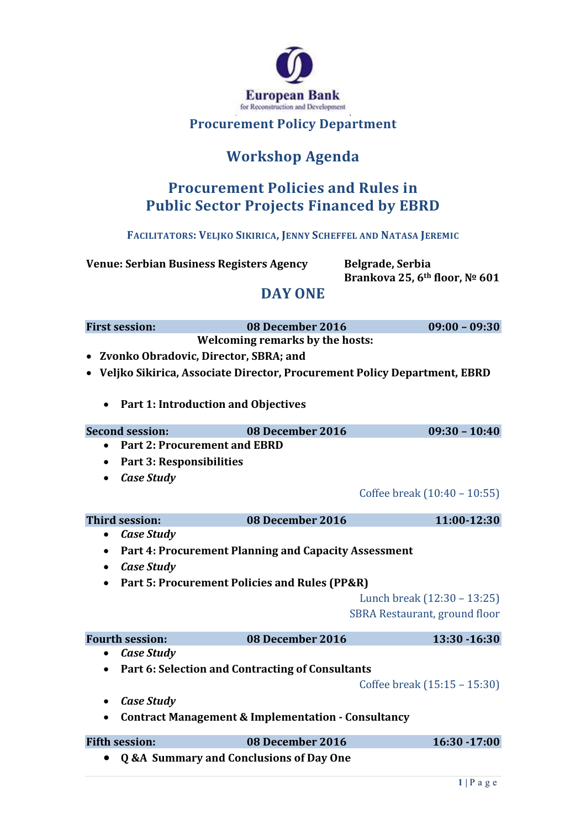

#### **Procurement Policy Department**

# **Workshop Agenda**

### **Procurement Policies and Rules in Public Sector Projects Financed by EBRD**

**FACILITATORS: VELJKO SIKIRICA, JENNY SCHEFFEL AND NATASA JEREMIC**

**Venue: Serbian Business Registers Agency Belgrade, Serbia**

**Brankova 25, 6th floor, № 601**

#### **DAY ONE**

| <b>First session:</b>                                                                                             | 08 December 2016                                              | $09:00 - 09:30$                      |  |  |
|-------------------------------------------------------------------------------------------------------------------|---------------------------------------------------------------|--------------------------------------|--|--|
| <b>Welcoming remarks by the hosts:</b>                                                                            |                                                               |                                      |  |  |
| Zvonko Obradovic, Director, SBRA; and<br>Veljko Sikirica, Associate Director, Procurement Policy Department, EBRD |                                                               |                                      |  |  |
|                                                                                                                   |                                                               |                                      |  |  |
| <b>Part 1: Introduction and Objectives</b>                                                                        |                                                               |                                      |  |  |
| <b>Second session:</b>                                                                                            | 08 December 2016                                              | $09:30 - 10:40$                      |  |  |
| <b>Part 2: Procurement and EBRD</b>                                                                               |                                                               |                                      |  |  |
|                                                                                                                   |                                                               |                                      |  |  |
| <b>Part 3: Responsibilities</b><br>$\bullet$                                                                      |                                                               |                                      |  |  |
| <b>Case Study</b><br>$\bullet$                                                                                    |                                                               |                                      |  |  |
|                                                                                                                   |                                                               | Coffee break (10:40 - 10:55)         |  |  |
| <b>Third session:</b>                                                                                             | 08 December 2016                                              | 11:00-12:30                          |  |  |
| <b>Case Study</b><br>$\bullet$                                                                                    |                                                               |                                      |  |  |
| ٠                                                                                                                 | <b>Part 4: Procurement Planning and Capacity Assessment</b>   |                                      |  |  |
| <b>Case Study</b><br>$\bullet$                                                                                    |                                                               |                                      |  |  |
| $\bullet$                                                                                                         | Part 5: Procurement Policies and Rules (PP&R)                 |                                      |  |  |
|                                                                                                                   |                                                               | Lunch break (12:30 - 13:25)          |  |  |
|                                                                                                                   |                                                               | <b>SBRA Restaurant, ground floor</b> |  |  |
|                                                                                                                   |                                                               |                                      |  |  |
| <b>Fourth session:</b>                                                                                            | 08 December 2016                                              | 13:30 - 16:30                        |  |  |
| <b>Case Study</b><br>$\bullet$                                                                                    |                                                               |                                      |  |  |
|                                                                                                                   | Part 6: Selection and Contracting of Consultants              |                                      |  |  |
|                                                                                                                   |                                                               | Coffee break (15:15 - 15:30)         |  |  |
| <b>Case Study</b><br>٠                                                                                            |                                                               |                                      |  |  |
|                                                                                                                   | <b>Contract Management &amp; Implementation - Consultancy</b> |                                      |  |  |
| <b>Fifth session:</b>                                                                                             | 08 December 2016                                              | 16:30 - 17:00                        |  |  |
| $\bullet$                                                                                                         | <b>Q &amp;A Summary and Conclusions of Day One</b>            |                                      |  |  |